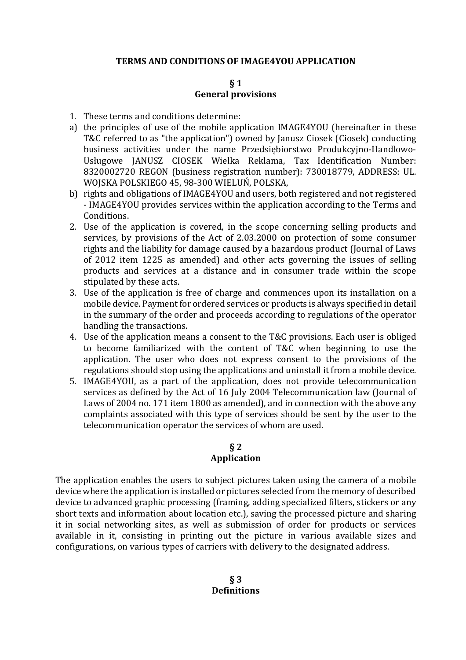#### **TERMS AND CONDITIONS OF IMAGE4YOU APPLICATION**

#### **§ 1 General provisions**

- 1. These terms and conditions determine:
- a) the principles of use of the mobile application IMAGE4YOU (hereinafter in these T&C referred to as "the application") owned by Janusz Ciosek (Ciosek) conducting business activities under the name Przedsiębiorstwo Produkcyjno-Handlowo-Usługowe JANUSZ CIOSEK Wielka Reklama, Tax Identification Number: 8320002720 REGON (business registration number): 730018779, ADDRESS: UL. WOJSKA POLSKIEGO 45, 98-300 WIELUŃ, POLSKA,
- b) rights and obligations of IMAGE4YOU and users, both registered and not registered - IMAGE4YOU provides services within the application according to the Terms and Conditions.
- 2. Use of the application is covered, in the scope concerning selling products and services, by provisions of the Act of 2.03.2000 on protection of some consumer rights and the liability for damage caused by a hazardous product (Journal of Laws of 2012 item 1225 as amended) and other acts governing the issues of selling products and services at a distance and in consumer trade within the scope stipulated by these acts.
- 3. Use of the application is free of charge and commences upon its installation on a mobile device. Payment for ordered services or products is always specified in detail in the summary of the order and proceeds according to regulations of the operator handling the transactions.
- 4. Use of the application means a consent to the T&C provisions. Each user is obliged to become familiarized with the content of T&C when beginning to use the application. The user who does not express consent to the provisions of the regulations should stop using the applications and uninstall it from a mobile device.
- 5. IMAGE4YOU, as a part of the application, does not provide telecommunication services as defined by the Act of 16 July 2004 Telecommunication law (Journal of Laws of 2004 no. 171 item 1800 as amended), and in connection with the above any complaints associated with this type of services should be sent by the user to the telecommunication operator the services of whom are used.

# **§ 2**

## **Application**

The application enables the users to subject pictures taken using the camera of a mobile device where the application is installed or pictures selected from the memory of described device to advanced graphic processing (framing, adding specialized filters, stickers or any short texts and information about location etc.), saving the processed picture and sharing it in social networking sites, as well as submission of order for products or services available in it, consisting in printing out the picture in various available sizes and configurations, on various types of carriers with delivery to the designated address.

> **§ 3 Definitions**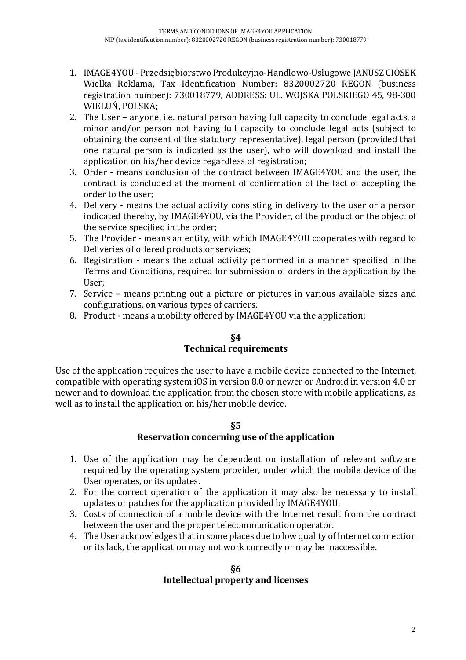- 1. IMAGE4YOU Przedsiębiorstwo Produkcyjno-Handlowo-Usługowe JANUSZ CIOSEK Wielka Reklama, Tax Identification Number: 8320002720 REGON (business registration number): 730018779, ADDRESS: UL. WOJSKA POLSKIEGO 45, 98-300 WIELUŃ, POLSKA;
- 2. The User anyone, i.e. natural person having full capacity to conclude legal acts, a minor and/or person not having full capacity to conclude legal acts (subject to obtaining the consent of the statutory representative), legal person (provided that one natural person is indicated as the user), who will download and install the application on his/her device regardless of registration;
- 3. Order means conclusion of the contract between IMAGE4YOU and the user, the contract is concluded at the moment of confirmation of the fact of accepting the order to the user;
- 4. Delivery means the actual activity consisting in delivery to the user or a person indicated thereby, by IMAGE4YOU, via the Provider, of the product or the object of the service specified in the order;
- 5. The Provider means an entity, with which IMAGE4YOU cooperates with regard to Deliveries of offered products or services;
- 6. Registration means the actual activity performed in a manner specified in the Terms and Conditions, required for submission of orders in the application by the User;
- 7. Service means printing out a picture or pictures in various available sizes and configurations, on various types of carriers;
- 8. Product means a mobility offered by IMAGE4YOU via the application;

# **§4 Technical requirements**

Use of the application requires the user to have a mobile device connected to the Internet, compatible with operating system iOS in version 8.0 or newer or Android in version 4.0 or newer and to download the application from the chosen store with mobile applications, as well as to install the application on his/her mobile device.

#### **§5**

# **Reservation concerning use of the application**

- 1. Use of the application may be dependent on installation of relevant software required by the operating system provider, under which the mobile device of the User operates, or its updates.
- 2. For the correct operation of the application it may also be necessary to install updates or patches for the application provided by IMAGE4YOU.
- 3. Costs of connection of a mobile device with the Internet result from the contract between the user and the proper telecommunication operator.
- 4. The User acknowledges that in some places due to low quality of Internet connection or its lack, the application may not work correctly or may be inaccessible.

#### **§6 Intellectual property and licenses**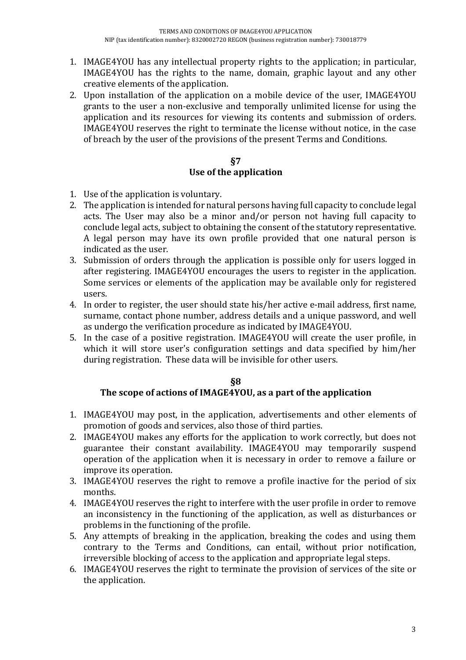- 1. IMAGE4YOU has any intellectual property rights to the application; in particular, IMAGE4YOU has the rights to the name, domain, graphic layout and any other creative elements of the application.
- 2. Upon installation of the application on a mobile device of the user, IMAGE4YOU grants to the user a non-exclusive and temporally unlimited license for using the application and its resources for viewing its contents and submission of orders. IMAGE4YOU reserves the right to terminate the license without notice, in the case of breach by the user of the provisions of the present Terms and Conditions.

#### **§7 Use of the application**

- 1. Use of the application is voluntary.
- 2. The application is intended for natural persons having full capacity to conclude legal acts. The User may also be a minor and/or person not having full capacity to conclude legal acts, subject to obtaining the consent of the statutory representative. A legal person may have its own profile provided that one natural person is indicated as the user.
- 3. Submission of orders through the application is possible only for users logged in after registering. IMAGE4YOU encourages the users to register in the application. Some services or elements of the application may be available only for registered users.
- 4. In order to register, the user should state his/her active e-mail address, first name, surname, contact phone number, address details and a unique password, and well as undergo the verification procedure as indicated by IMAGE4YOU.
- 5. In the case of a positive registration. IMAGE4YOU will create the user profile, in which it will store user's configuration settings and data specified by him/her during registration. These data will be invisible for other users.

# **§8**

# **The scope of actions of IMAGE4YOU, as a part of the application**

- 1. IMAGE4YOU may post, in the application, advertisements and other elements of promotion of goods and services, also those of third parties.
- 2. IMAGE4YOU makes any efforts for the application to work correctly, but does not guarantee their constant availability. IMAGE4YOU may temporarily suspend operation of the application when it is necessary in order to remove a failure or improve its operation.
- 3. IMAGE4YOU reserves the right to remove a profile inactive for the period of six months.
- 4. IMAGE4YOU reserves the right to interfere with the user profile in order to remove an inconsistency in the functioning of the application, as well as disturbances or problems in the functioning of the profile.
- 5. Any attempts of breaking in the application, breaking the codes and using them contrary to the Terms and Conditions, can entail, without prior notification, irreversible blocking of access to the application and appropriate legal steps.
- 6. IMAGE4YOU reserves the right to terminate the provision of services of the site or the application.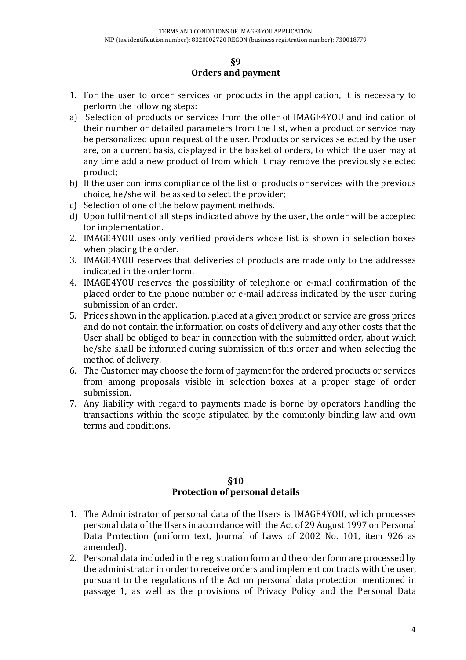#### **§9 Orders and payment**

- 1. For the user to order services or products in the application, it is necessary to perform the following steps:
- a) Selection of products or services from the offer of IMAGE4YOU and indication of their number or detailed parameters from the list, when a product or service may be personalized upon request of the user. Products or services selected by the user are, on a current basis, displayed in the basket of orders, to which the user may at any time add a new product of from which it may remove the previously selected product;
- b) If the user confirms compliance of the list of products or services with the previous choice, he/she will be asked to select the provider;
- c) Selection of one of the below payment methods.
- d) Upon fulfilment of all steps indicated above by the user, the order will be accepted for implementation.
- 2. IMAGE4YOU uses only verified providers whose list is shown in selection boxes when placing the order.
- 3. IMAGE4YOU reserves that deliveries of products are made only to the addresses indicated in the order form.
- 4. IMAGE4YOU reserves the possibility of telephone or e-mail confirmation of the placed order to the phone number or e-mail address indicated by the user during submission of an order.
- 5. Prices shown in the application, placed at a given product or service are gross prices and do not contain the information on costs of delivery and any other costs that the User shall be obliged to bear in connection with the submitted order, about which he/she shall be informed during submission of this order and when selecting the method of delivery.
- 6. The Customer may choose the form of payment for the ordered products or services from among proposals visible in selection boxes at a proper stage of order submission.
- 7. Any liability with regard to payments made is borne by operators handling the transactions within the scope stipulated by the commonly binding law and own terms and conditions.

## **§10 Protection of personal details**

- 1. The Administrator of personal data of the Users is IMAGE4YOU, which processes personal data of the Users in accordance with the Act of 29 August 1997 on Personal Data Protection (uniform text, Journal of Laws of 2002 No. 101, item 926 as amended).
- 2. Personal data included in the registration form and the order form are processed by the administrator in order to receive orders and implement contracts with the user, pursuant to the regulations of the Act on personal data protection mentioned in passage 1, as well as the provisions of Privacy Policy and the Personal Data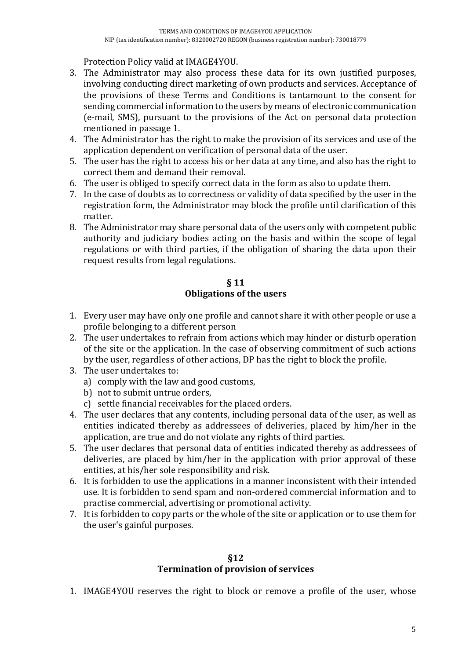Protection Policy valid at IMAGE4YOU.

- 3. The Administrator may also process these data for its own justified purposes, involving conducting direct marketing of own products and services. Acceptance of the provisions of these Terms and Conditions is tantamount to the consent for sending commercial information to the users by means of electronic communication (e-mail, SMS), pursuant to the provisions of the Act on personal data protection mentioned in passage 1.
- 4. The Administrator has the right to make the provision of its services and use of the application dependent on verification of personal data of the user.
- 5. The user has the right to access his or her data at any time, and also has the right to correct them and demand their removal.
- 6. The user is obliged to specify correct data in the form as also to update them.
- 7. In the case of doubts as to correctness or validity of data specified by the user in the registration form, the Administrator may block the profile until clarification of this matter.
- 8. The Administrator may share personal data of the users only with competent public authority and judiciary bodies acting on the basis and within the scope of legal regulations or with third parties, if the obligation of sharing the data upon their request results from legal regulations.

## **§ 11**

# **Obligations of the users**

- 1. Every user may have only one profile and cannot share it with other people or use a profile belonging to a different person
- 2. The user undertakes to refrain from actions which may hinder or disturb operation of the site or the application. In the case of observing commitment of such actions by the user, regardless of other actions, DP has the right to block the profile.
- 3. The user undertakes to:
	- a) comply with the law and good customs,
	- b) not to submit untrue orders,
	- c) settle financial receivables for the placed orders.
- 4. The user declares that any contents, including personal data of the user, as well as entities indicated thereby as addressees of deliveries, placed by him/her in the application, are true and do not violate any rights of third parties.
- 5. The user declares that personal data of entities indicated thereby as addressees of deliveries, are placed by him/her in the application with prior approval of these entities, at his/her sole responsibility and risk.
- 6. It is forbidden to use the applications in a manner inconsistent with their intended use. It is forbidden to send spam and non-ordered commercial information and to practise commercial, advertising or promotional activity.
- 7. It is forbidden to copy parts or the whole of the site or application or to use them for the user's gainful purposes.

#### **§12 Termination of provision of services**

1. IMAGE4YOU reserves the right to block or remove a profile of the user, whose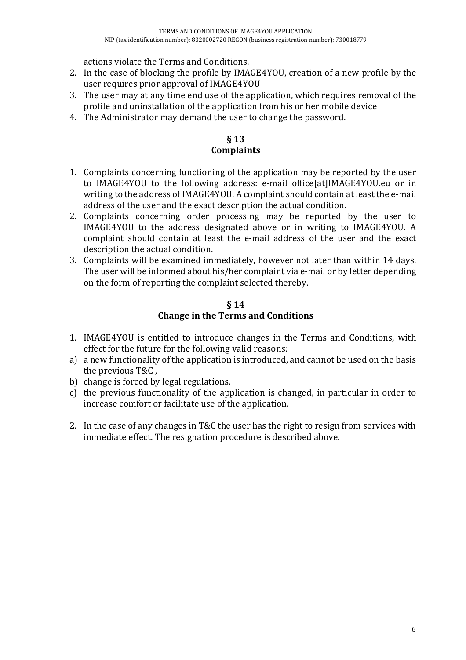actions violate the Terms and Conditions.

- 2. In the case of blocking the profile by IMAGE4YOU, creation of a new profile by the user requires prior approval of IMAGE4YOU
- 3. The user may at any time end use of the application, which requires removal of the profile and uninstallation of the application from his or her mobile device
- 4. The Administrator may demand the user to change the password.

### **§ 13 Complaints**

- 1. Complaints concerning functioning of the application may be reported by the user to IMAGE4YOU to the following address: e-mail office[at]IMAGE4YOU.eu or in writing to the address of IMAGE4YOU. A complaint should contain at least the e-mail address of the user and the exact description the actual condition.
- 2. Complaints concerning order processing may be reported by the user to IMAGE4YOU to the address designated above or in writing to IMAGE4YOU. A complaint should contain at least the e-mail address of the user and the exact description the actual condition.
- 3. Complaints will be examined immediately, however not later than within 14 days. The user will be informed about his/her complaint via e-mail or by letter depending on the form of reporting the complaint selected thereby.

## **§ 14 Change in the Terms and Conditions**

- 1. IMAGE4YOU is entitled to introduce changes in the Terms and Conditions, with effect for the future for the following valid reasons:
- a) a new functionality of the application is introduced, and cannot be used on the basis the previous T&C ,
- b) change is forced by legal regulations,
- c) the previous functionality of the application is changed, in particular in order to increase comfort or facilitate use of the application.
- 2. In the case of any changes in T&C the user has the right to resign from services with immediate effect. The resignation procedure is described above.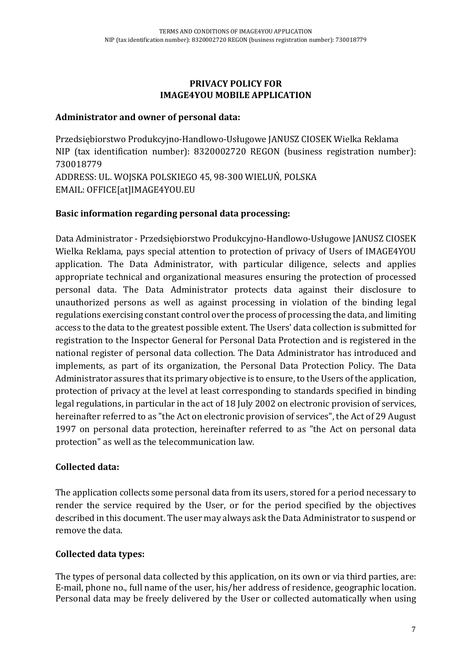#### **PRIVACY POLICY FOR IMAGE4YOU MOBILE APPLICATION**

#### **Administrator and owner of personal data:**

Przedsiębiorstwo Produkcyjno-Handlowo-Usługowe JANUSZ CIOSEK Wielka Reklama NIP (tax identification number): 8320002720 REGON (business registration number): 730018779 ADDRESS: UL. WOJSKA POLSKIEGO 45, 98-300 WIELUŃ, POLSKA EMAIL: OFFICE[at]IMAGE4YOU.EU

## **Basic information regarding personal data processing:**

Data Administrator - Przedsiębiorstwo Produkcyjno-Handlowo-Usługowe JANUSZ CIOSEK Wielka Reklama, pays special attention to protection of privacy of Users of IMAGE4YOU application. The Data Administrator, with particular diligence, selects and applies appropriate technical and organizational measures ensuring the protection of processed personal data. The Data Administrator protects data against their disclosure to unauthorized persons as well as against processing in violation of the binding legal regulations exercising constant control over the process of processing the data, and limiting access to the data to the greatest possible extent. The Users' data collection is submitted for registration to the Inspector General for Personal Data Protection and is registered in the national register of personal data collection. The Data Administrator has introduced and implements, as part of its organization, the Personal Data Protection Policy. The Data Administrator assures that its primary objective is to ensure, to the Users of the application, protection of privacy at the level at least corresponding to standards specified in binding legal regulations, in particular in the act of 18 July 2002 on electronic provision of services, hereinafter referred to as "the Act on electronic provision of services", the Act of 29 August 1997 on personal data protection, hereinafter referred to as "the Act on personal data protection" as well as the telecommunication law.

# **Collected data:**

The application collects some personal data from its users, stored for a period necessary to render the service required by the User, or for the period specified by the objectives described in this document. The user may always ask the Data Administrator to suspend or remove the data.

# **Collected data types:**

The types of personal data collected by this application, on its own or via third parties, are: E-mail, phone no., full name of the user, his/her address of residence, geographic location. Personal data may be freely delivered by the User or collected automatically when using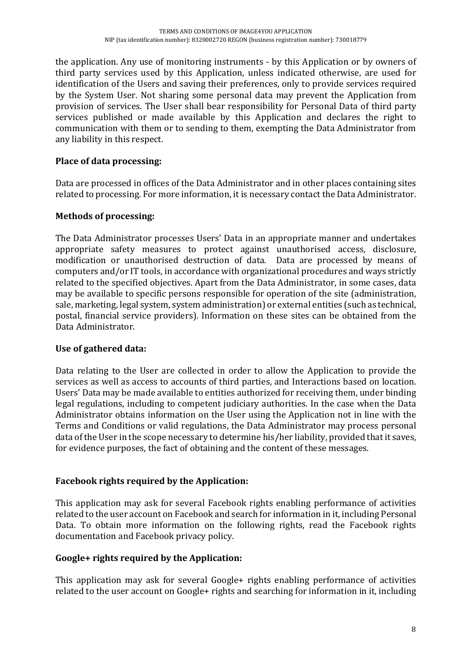the application. Any use of monitoring instruments - by this Application or by owners of third party services used by this Application, unless indicated otherwise, are used for identification of the Users and saving their preferences, only to provide services required by the System User. Not sharing some personal data may prevent the Application from provision of services. The User shall bear responsibility for Personal Data of third party services published or made available by this Application and declares the right to communication with them or to sending to them, exempting the Data Administrator from any liability in this respect.

# **Place of data processing:**

Data are processed in offices of the Data Administrator and in other places containing sites related to processing. For more information, it is necessary contact the Data Administrator.

# **Methods of processing:**

The Data Administrator processes Users' Data in an appropriate manner and undertakes appropriate safety measures to protect against unauthorised access, disclosure, modification or unauthorised destruction of data. Data are processed by means of computers and/or IT tools, in accordance with organizational procedures and ways strictly related to the specified objectives. Apart from the Data Administrator, in some cases, data may be available to specific persons responsible for operation of the site (administration, sale, marketing, legal system, system administration) or external entities (such as technical, postal, financial service providers). Information on these sites can be obtained from the Data Administrator.

# **Use of gathered data:**

Data relating to the User are collected in order to allow the Application to provide the services as well as access to accounts of third parties, and Interactions based on location. Users' Data may be made available to entities authorized for receiving them, under binding legal regulations, including to competent judiciary authorities. In the case when the Data Administrator obtains information on the User using the Application not in line with the Terms and Conditions or valid regulations, the Data Administrator may process personal data of the User in the scope necessary to determine his/her liability, provided that it saves, for evidence purposes, the fact of obtaining and the content of these messages.

# **Facebook rights required by the Application:**

This application may ask for several Facebook rights enabling performance of activities related to the user account on Facebook and search for information in it, including Personal Data. To obtain more information on the following rights, read the Facebook rights documentation and Facebook privacy policy.

#### **Google+ rights required by the Application:**

This application may ask for several Google+ rights enabling performance of activities related to the user account on Google+ rights and searching for information in it, including